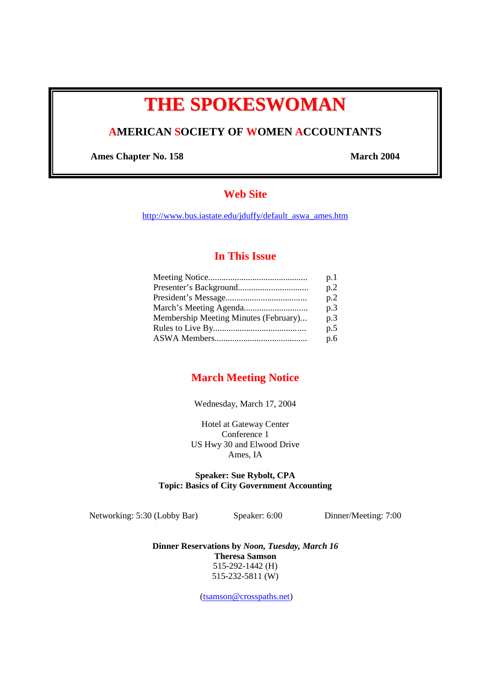# **THE SPOKESWOMAN**

# **AMERICAN SOCIETY OF WOMEN ACCOUNTANTS**

Ames Chapter No. 158 March 2004

# **Web Site**

http://www.bus.iastate.edu/jduffy/default\_aswa\_ames.htm

## **In This Issue**

|                                       | p.1 |
|---------------------------------------|-----|
|                                       | p.2 |
|                                       | p.2 |
|                                       | p.3 |
| Membership Meeting Minutes (February) | p.3 |
|                                       | p.5 |
|                                       | p.6 |
|                                       |     |

## **March Meeting Notice**

Wednesday, March 17, 2004

Hotel at Gateway Center Conference 1 US Hwy 30 and Elwood Drive Ames, IA

## **Speaker: Sue Rybolt, CPA Topic: Basics of City Government Accounting**

Networking: 5:30 (Lobby Bar) Speaker: 6:00 Dinner/Meeting: 7:00

**Dinner Reservations by** *Noon, Tuesday, March 16* **Theresa Samson**  515-292-1442 (H) 515-232-5811 (W)

(tsamson@crosspaths.net)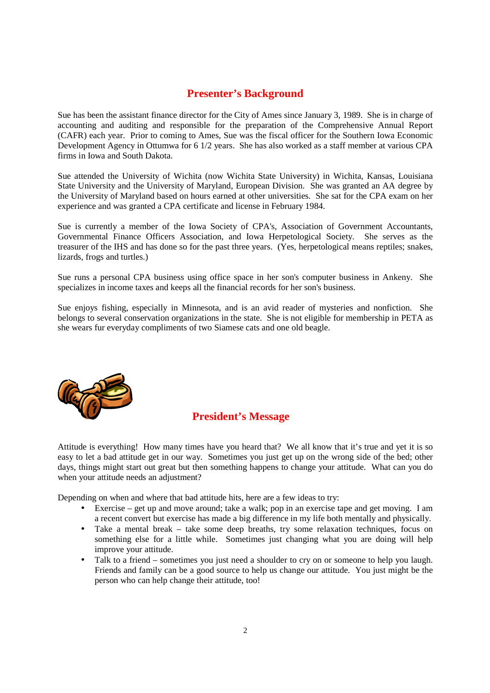# **Presenter's Background**

Sue has been the assistant finance director for the City of Ames since January 3, 1989. She is in charge of accounting and auditing and responsible for the preparation of the Comprehensive Annual Report (CAFR) each year. Prior to coming to Ames, Sue was the fiscal officer for the Southern Iowa Economic Development Agency in Ottumwa for 6 1/2 years. She has also worked as a staff member at various CPA firms in Iowa and South Dakota.

Sue attended the University of Wichita (now Wichita State University) in Wichita, Kansas, Louisiana State University and the University of Maryland, European Division. She was granted an AA degree by the University of Maryland based on hours earned at other universities. She sat for the CPA exam on her experience and was granted a CPA certificate and license in February 1984.

Sue is currently a member of the Iowa Society of CPA's, Association of Government Accountants, Governmental Finance Officers Association, and Iowa Herpetological Society. She serves as the treasurer of the IHS and has done so for the past three years. (Yes, herpetological means reptiles; snakes, lizards, frogs and turtles.)

Sue runs a personal CPA business using office space in her son's computer business in Ankeny. She specializes in income taxes and keeps all the financial records for her son's business.

Sue enjoys fishing, especially in Minnesota, and is an avid reader of mysteries and nonfiction. She belongs to several conservation organizations in the state. She is not eligible for membership in PETA as she wears fur everyday compliments of two Siamese cats and one old beagle.



## **President's Message**

Attitude is everything! How many times have you heard that? We all know that it's true and yet it is so easy to let a bad attitude get in our way. Sometimes you just get up on the wrong side of the bed; other days, things might start out great but then something happens to change your attitude. What can you do when your attitude needs an adjustment?

Depending on when and where that bad attitude hits, here are a few ideas to try:

- Exercise get up and move around; take a walk; pop in an exercise tape and get moving. I am a recent convert but exercise has made a big difference in my life both mentally and physically.
- Take a mental break take some deep breaths, try some relaxation techniques, focus on something else for a little while. Sometimes just changing what you are doing will help improve your attitude.
- Talk to a friend sometimes you just need a shoulder to cry on or someone to help you laugh. Friends and family can be a good source to help us change our attitude. You just might be the person who can help change their attitude, too!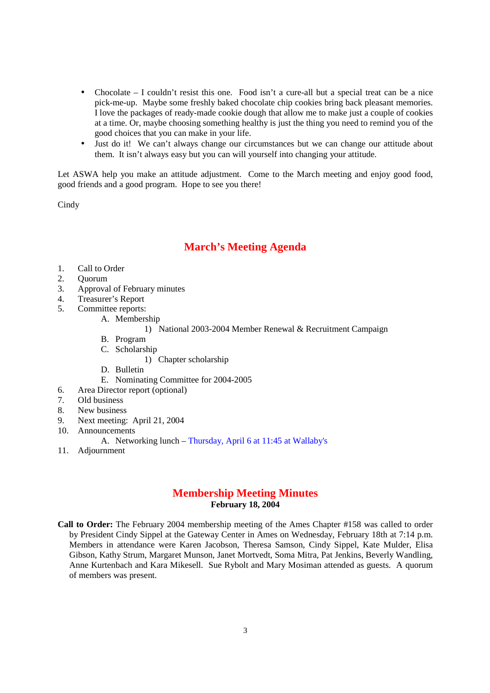- Chocolate I couldn't resist this one. Food isn't a cure-all but a special treat can be a nice pick-me-up. Maybe some freshly baked chocolate chip cookies bring back pleasant memories. I love the packages of ready-made cookie dough that allow me to make just a couple of cookies at a time. Or, maybe choosing something healthy is just the thing you need to remind you of the good choices that you can make in your life.
- Just do it! We can't always change our circumstances but we can change our attitude about them. It isn't always easy but you can will yourself into changing your attitude.

Let ASWA help you make an attitude adjustment. Come to the March meeting and enjoy good food, good friends and a good program. Hope to see you there!

Cindy

## **March's Meeting Agenda**

- 1. Call to Order
- 2. Quorum
- 3. Approval of February minutes
- 4. Treasurer's Report
- 5. Committee reports:
	- A. Membership
		- 1) National 2003-2004 Member Renewal & Recruitment Campaign
	- B. Program
	- C. Scholarship
		- 1) Chapter scholarship
	- D. Bulletin
	- E. Nominating Committee for 2004-2005
- 6. Area Director report (optional)
- 7. Old business
- 8. New business
- 9. Next meeting: April 21, 2004
- 10. Announcements
	- A. Networking lunch Thursday, April 6 at 11:45 at Wallaby's
- 11. Adjournment

## **Membership Meeting Minutes February 18, 2004**

**Call to Order:** The February 2004 membership meeting of the Ames Chapter #158 was called to order by President Cindy Sippel at the Gateway Center in Ames on Wednesday, February 18th at 7:14 p.m. Members in attendance were Karen Jacobson, Theresa Samson, Cindy Sippel, Kate Mulder, Elisa Gibson, Kathy Strum, Margaret Munson, Janet Mortvedt, Soma Mitra, Pat Jenkins, Beverly Wandling, Anne Kurtenbach and Kara Mikesell. Sue Rybolt and Mary Mosiman attended as guests. A quorum of members was present.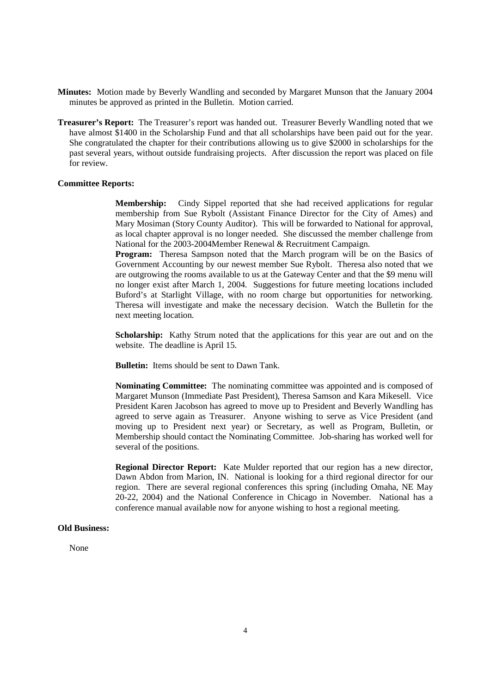- **Minutes:** Motion made by Beverly Wandling and seconded by Margaret Munson that the January 2004 minutes be approved as printed in the Bulletin. Motion carried.
- **Treasurer's Report:** The Treasurer's report was handed out. Treasurer Beverly Wandling noted that we have almost \$1400 in the Scholarship Fund and that all scholarships have been paid out for the year. She congratulated the chapter for their contributions allowing us to give \$2000 in scholarships for the past several years, without outside fundraising projects. After discussion the report was placed on file for review.

#### **Committee Reports:**

**Membership:** Cindy Sippel reported that she had received applications for regular membership from Sue Rybolt (Assistant Finance Director for the City of Ames) and Mary Mosiman (Story County Auditor). This will be forwarded to National for approval, as local chapter approval is no longer needed. She discussed the member challenge from National for the 2003-2004Member Renewal & Recruitment Campaign.

**Program:** Theresa Sampson noted that the March program will be on the Basics of Government Accounting by our newest member Sue Rybolt. Theresa also noted that we are outgrowing the rooms available to us at the Gateway Center and that the \$9 menu will no longer exist after March 1, 2004. Suggestions for future meeting locations included Buford's at Starlight Village, with no room charge but opportunities for networking. Theresa will investigate and make the necessary decision. Watch the Bulletin for the next meeting location.

**Scholarship:** Kathy Strum noted that the applications for this year are out and on the website. The deadline is April 15.

**Bulletin:** Items should be sent to Dawn Tank.

**Nominating Committee:** The nominating committee was appointed and is composed of Margaret Munson (Immediate Past President), Theresa Samson and Kara Mikesell. Vice President Karen Jacobson has agreed to move up to President and Beverly Wandling has agreed to serve again as Treasurer. Anyone wishing to serve as Vice President (and moving up to President next year) or Secretary, as well as Program, Bulletin, or Membership should contact the Nominating Committee. Job-sharing has worked well for several of the positions.

**Regional Director Report:** Kate Mulder reported that our region has a new director, Dawn Abdon from Marion, IN. National is looking for a third regional director for our region. There are several regional conferences this spring (including Omaha, NE May 20-22, 2004) and the National Conference in Chicago in November. National has a conference manual available now for anyone wishing to host a regional meeting.

### **Old Business:**

None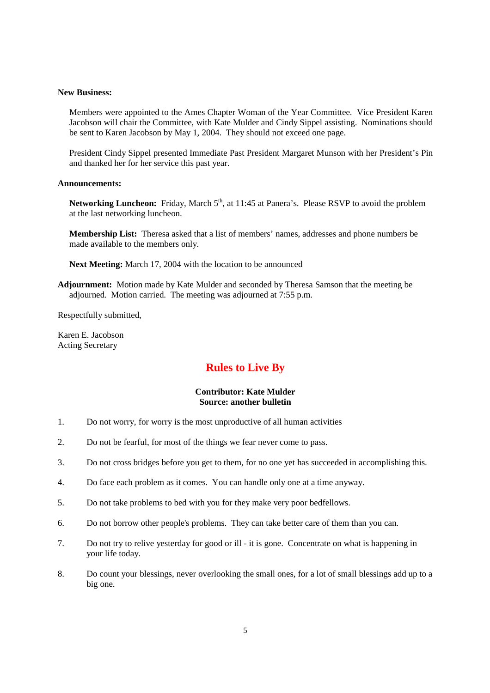#### **New Business:**

 Members were appointed to the Ames Chapter Woman of the Year Committee. Vice President Karen Jacobson will chair the Committee, with Kate Mulder and Cindy Sippel assisting. Nominations should be sent to Karen Jacobson by May 1, 2004. They should not exceed one page.

President Cindy Sippel presented Immediate Past President Margaret Munson with her President's Pin and thanked her for her service this past year.

### **Announcements:**

**Networking Luncheon:** Friday, March 5<sup>th</sup>, at 11:45 at Panera's. Please RSVP to avoid the problem at the last networking luncheon.

**Membership List:** Theresa asked that a list of members' names, addresses and phone numbers be made available to the members only.

**Next Meeting:** March 17, 2004 with the location to be announced

**Adjournment:** Motion made by Kate Mulder and seconded by Theresa Samson that the meeting be adjourned. Motion carried. The meeting was adjourned at 7:55 p.m.

Respectfully submitted,

Karen E. Jacobson Acting Secretary

## **Rules to Live By**

## **Contributor: Kate Mulder Source: another bulletin**

- 1. Do not worry, for worry is the most unproductive of all human activities
- 2. Do not be fearful, for most of the things we fear never come to pass.
- 3. Do not cross bridges before you get to them, for no one yet has succeeded in accomplishing this.
- 4. Do face each problem as it comes. You can handle only one at a time anyway.
- 5. Do not take problems to bed with you for they make very poor bedfellows.
- 6. Do not borrow other people's problems. They can take better care of them than you can.
- 7. Do not try to relive yesterday for good or ill it is gone. Concentrate on what is happening in your life today.
- 8. Do count your blessings, never overlooking the small ones, for a lot of small blessings add up to a big one.